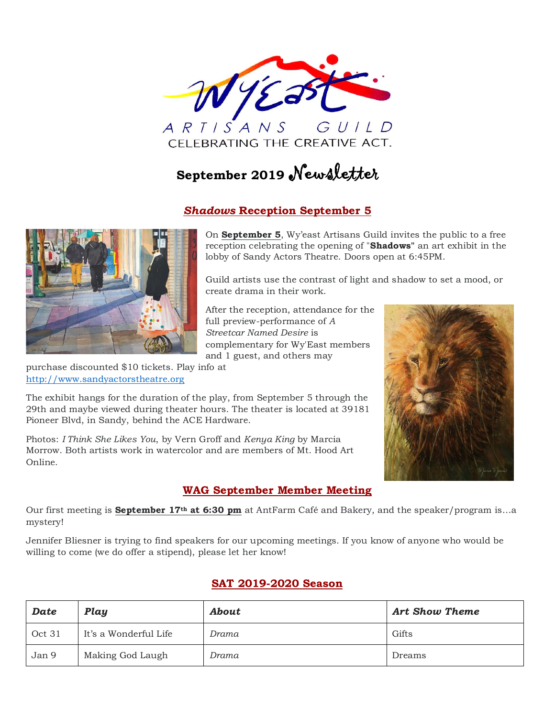

# **September <sup>2019</sup>** Newsletter

#### *Shadows* **Reception September 5**



purchase discounted \$10 tickets. Play info at [http://www.sandyactorstheatre.org](http://www.sandyactorstheatre.org/)

On **September 5**, Wy'east Artisans Guild invites the public to a free reception celebrating the opening of "**Shadows"** an art exhibit in the lobby of Sandy Actors Theatre. Doors open at 6:45PM.

Guild artists use the contrast of light and shadow to set a mood, or create drama in their work.

After the reception, attendance for the full preview-performance of *A Streetcar Named Desire* is complementary for Wy'East members and 1 guest, and others may



The exhibit hangs for the duration of the play, from September 5 through the 29th and maybe viewed during theater hours. The theater is located at 39181 Pioneer Blvd, in Sandy, behind the ACE Hardware.

Photos: *I Think She Likes You*, by Vern Groff and *Kenya King* by Marcia Morrow. Both artists work in watercolor and are members of Mt. Hood Art Online.

## **WAG September Member Meeting**

Our first meeting is **September 17th at 6:30 pm** at AntFarm Café and Bakery, and the speaker/program is…a mystery!

Jennifer Bliesner is trying to find speakers for our upcoming meetings. If you know of anyone who would be willing to come (we do offer a stipend), please let her know!

#### **SAT 2019-2020 Season**

| <b>Date</b> | Play                  | <b>About</b> | <b>Art Show Theme</b> |
|-------------|-----------------------|--------------|-----------------------|
| Oct 31      | It's a Wonderful Life | Drama        | Gifts                 |
| Jan 9       | Making God Laugh      | Drama        | Dreams                |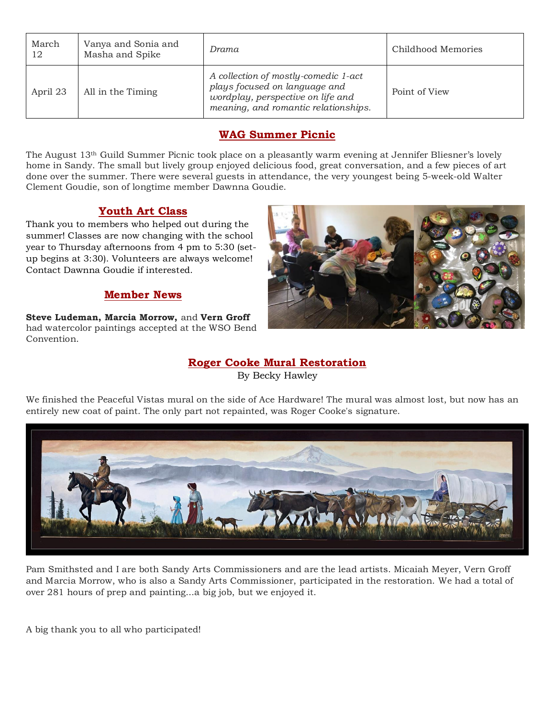| March<br>12 | Vanya and Sonia and<br>Masha and Spike | Drama                                                                                                                                              | Childhood Memories |  |
|-------------|----------------------------------------|----------------------------------------------------------------------------------------------------------------------------------------------------|--------------------|--|
| April 23    | All in the Timing                      | A collection of mostly-comedic 1-act<br>plays focused on language and<br>wordplay, perspective on life and<br>meaning, and romantic relationships. | Point of View      |  |

#### **WAG Summer Picnic**

The August 13th Guild Summer Picnic took place on a pleasantly warm evening at Jennifer Bliesner's lovely home in Sandy. The small but lively group enjoyed delicious food, great conversation, and a few pieces of art done over the summer. There were several guests in attendance, the very youngest being 5-week-old Walter Clement Goudie, son of longtime member Dawnna Goudie.

#### **Youth Art Class**

Thank you to members who helped out during the summer! Classes are now changing with the school year to Thursday afternoons from 4 pm to 5:30 (setup begins at 3:30). Volunteers are always welcome! Contact Dawnna Goudie if interested.

#### **Member News**

**Steve Ludeman, Marcia Morrow,** and **Vern Groff** had watercolor paintings accepted at the WSO Bend Convention.



#### **Roger Cooke Mural Restoration** By Becky Hawley

We finished the Peaceful Vistas mural on the side of Ace Hardware! The mural was almost lost, but now has an entirely new coat of paint. The only part not repainted, was Roger Cooke's signature.



Pam Smithsted and I are both Sandy Arts Commissioners and are the lead artists. Micaiah Meyer, Vern Groff and Marcia Morrow, who is also a Sandy Arts Commissioner, participated in the restoration. We had a total of over 281 hours of prep and painting...a big job, but we enjoyed it.

A big thank you to all who participated!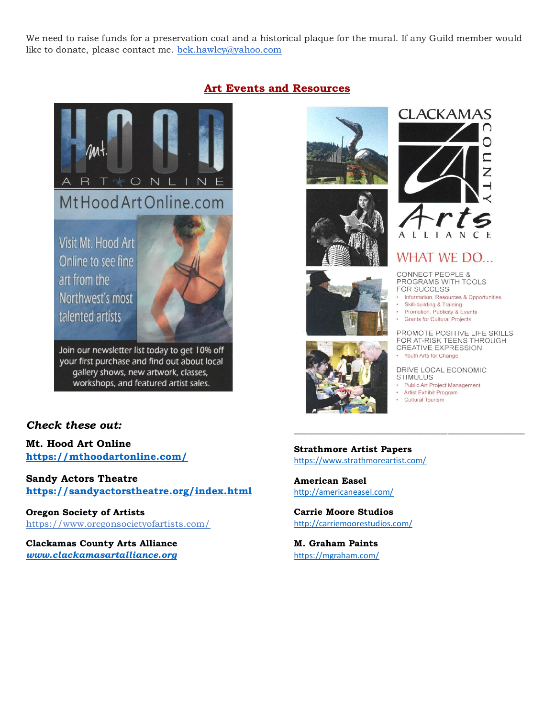We need to raise funds for a preservation coat and a historical plaque for the mural. If any Guild member would like to donate, please contact me. [bek.hawley@yahoo.com](mailto:bek.hawley@yahoo.com)



#### **Art Events and Resources**











## **WHAT WE DO...**

CONNECT PEOPLE &<br>PROGRAMS WITH TOOLS FOR SUCCESS

- Information, Resources & Opportunities
- Skill-building & Training
- ×. Promotion, Publicity & Events
- **Grants for Cultural Projects**

PROMOTE POSITIVE LIFE SKILLS FOR AT-RISK TEENS THROUGH CREATIVE EXPRESSION

Youth Arts for Change

DRIVE LOCAL ECONOMIC **STIMULUS** 

- Public Art Project Management
- · Artist Exhibit Program
- **Cultural Tourism**

*\_\_\_\_\_\_\_\_\_\_\_\_\_\_\_\_\_\_\_\_\_\_\_\_\_\_\_\_\_\_\_\_\_\_\_\_\_\_\_\_\_\_\_\_\_\_\_\_\_\_\_*

#### *Check these out:*

**Mt. Hood Art Online <https://mthoodartonline.com/>**

**Sandy Actors Theatre <https://sandyactorstheatre.org/index.html>**

**Oregon Society of Artists** <https://www.oregonsocietyofartists.com/>

**Clackamas County Arts Alliance** *[www.clackamasartalliance.org](http://www.clackamasartalliance.org/)* **Strathmore Artist Papers** <https://www.strathmoreartist.com/>

**American Easel** <http://americaneasel.com/>

**Carrie Moore Studios** <http://carriemoorestudios.com/>

**M. Graham Paints** <https://mgraham.com/>